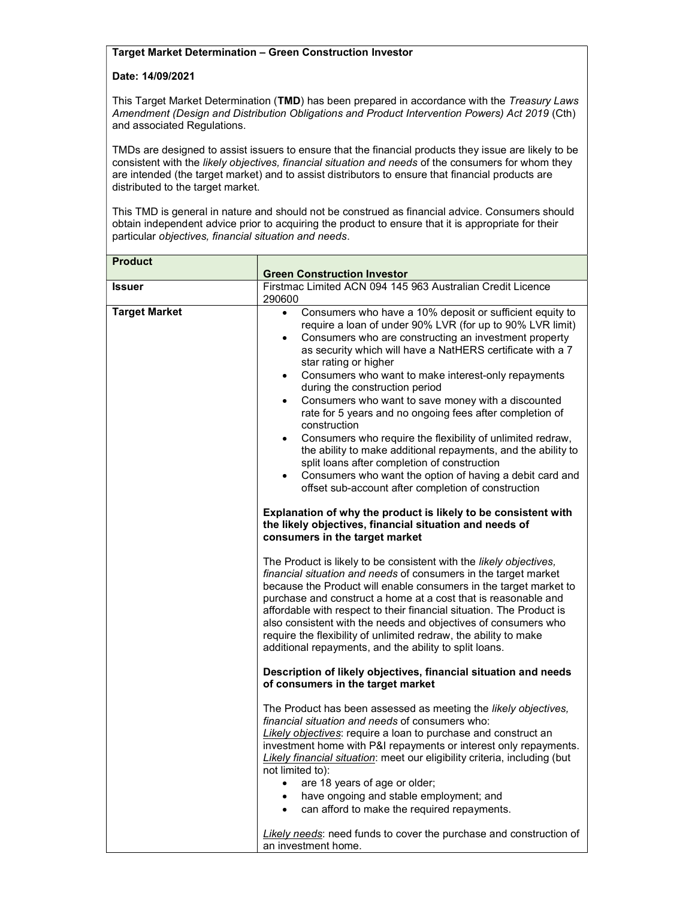## Target Market Determination – Green Construction Investor

## Date: 14/09/2021

This Target Market Determination (TMD) has been prepared in accordance with the Treasury Laws Amendment (Design and Distribution Obligations and Product Intervention Powers) Act 2019 (Cth) and associated Regulations.

TMDs are designed to assist issuers to ensure that the financial products they issue are likely to be consistent with the likely objectives, financial situation and needs of the consumers for whom they are intended (the target market) and to assist distributors to ensure that financial products are distributed to the target market.

This TMD is general in nature and should not be construed as financial advice. Consumers should obtain independent advice prior to acquiring the product to ensure that it is appropriate for their particular objectives, financial situation and needs.

| <b>Product</b>       |                                                                                                                                                                                                                                                                                                                                                                                                                                                                                                                                                                                                                                                                                                                                                                                                                                                                                                                                            |
|----------------------|--------------------------------------------------------------------------------------------------------------------------------------------------------------------------------------------------------------------------------------------------------------------------------------------------------------------------------------------------------------------------------------------------------------------------------------------------------------------------------------------------------------------------------------------------------------------------------------------------------------------------------------------------------------------------------------------------------------------------------------------------------------------------------------------------------------------------------------------------------------------------------------------------------------------------------------------|
|                      | <b>Green Construction Investor</b>                                                                                                                                                                                                                                                                                                                                                                                                                                                                                                                                                                                                                                                                                                                                                                                                                                                                                                         |
| <b>Issuer</b>        | Firstmac Limited ACN 094 145 963 Australian Credit Licence<br>290600                                                                                                                                                                                                                                                                                                                                                                                                                                                                                                                                                                                                                                                                                                                                                                                                                                                                       |
| <b>Target Market</b> | Consumers who have a 10% deposit or sufficient equity to<br>$\bullet$<br>require a loan of under 90% LVR (for up to 90% LVR limit)<br>Consumers who are constructing an investment property<br>٠<br>as security which will have a NatHERS certificate with a 7<br>star rating or higher<br>Consumers who want to make interest-only repayments<br>$\bullet$<br>during the construction period<br>Consumers who want to save money with a discounted<br>$\bullet$<br>rate for 5 years and no ongoing fees after completion of<br>construction<br>Consumers who require the flexibility of unlimited redraw,<br>$\bullet$<br>the ability to make additional repayments, and the ability to<br>split loans after completion of construction<br>Consumers who want the option of having a debit card and<br>$\bullet$<br>offset sub-account after completion of construction<br>Explanation of why the product is likely to be consistent with |
|                      | the likely objectives, financial situation and needs of<br>consumers in the target market                                                                                                                                                                                                                                                                                                                                                                                                                                                                                                                                                                                                                                                                                                                                                                                                                                                  |
|                      | The Product is likely to be consistent with the likely objectives,<br>financial situation and needs of consumers in the target market<br>because the Product will enable consumers in the target market to<br>purchase and construct a home at a cost that is reasonable and<br>affordable with respect to their financial situation. The Product is<br>also consistent with the needs and objectives of consumers who<br>require the flexibility of unlimited redraw, the ability to make<br>additional repayments, and the ability to split loans.                                                                                                                                                                                                                                                                                                                                                                                       |
|                      | Description of likely objectives, financial situation and needs<br>of consumers in the target market                                                                                                                                                                                                                                                                                                                                                                                                                                                                                                                                                                                                                                                                                                                                                                                                                                       |
|                      | The Product has been assessed as meeting the likely objectives,<br>financial situation and needs of consumers who:<br>Likely objectives: require a loan to purchase and construct an<br>investment home with P&I repayments or interest only repayments.<br>Likely financial situation: meet our eligibility criteria, including (but<br>not limited to):<br>are 18 years of age or older;                                                                                                                                                                                                                                                                                                                                                                                                                                                                                                                                                 |
|                      | have ongoing and stable employment; and<br>$\bullet$<br>can afford to make the required repayments.<br>$\bullet$                                                                                                                                                                                                                                                                                                                                                                                                                                                                                                                                                                                                                                                                                                                                                                                                                           |
|                      | Likely needs: need funds to cover the purchase and construction of<br>an investment home.                                                                                                                                                                                                                                                                                                                                                                                                                                                                                                                                                                                                                                                                                                                                                                                                                                                  |